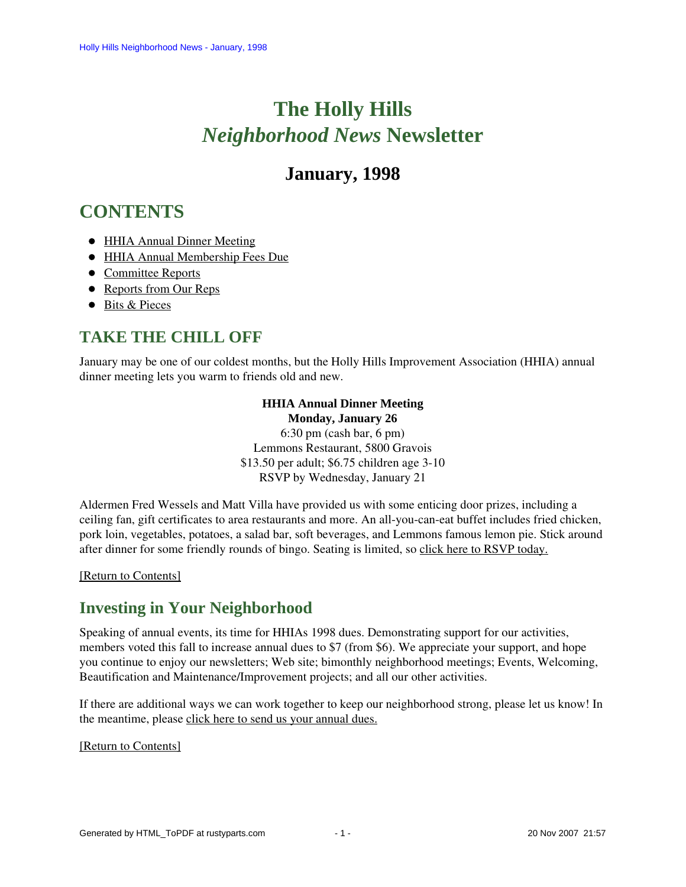# **The Holly Hills**  *Neighborhood News* **Newsletter**

# **January, 1998**

# <span id="page-0-3"></span>**CONTENTS**

- [HHIA Annual Dinner Meeting](#page-0-0)
- [HHIA Annual Membership Fees Due](#page-0-1)
- [Committee Reports](#page-0-2)
- [Reports from Our Reps](#page-3-0)
- [Bits & Pieces](#page-3-1)

## <span id="page-0-0"></span>**TAKE THE CHILL OFF**

January may be one of our coldest months, but the Holly Hills Improvement Association (HHIA) annual dinner meeting lets you warm to friends old and new.

### **HHIA Annual Dinner Meeting**

**Monday, January 26** 6:30 pm (cash bar, 6 pm) Lemmons Restaurant, 5800 Gravois \$13.50 per adult; \$6.75 children age 3-10 RSVP by Wednesday, January 21

Aldermen Fred Wessels and Matt Villa have provided us with some enticing door prizes, including a ceiling fan, gift certificates to area restaurants and more. An all-you-can-eat buffet includes fried chicken, pork loin, vegetables, potatoes, a salad bar, soft beverages, and Lemmons famous lemon pie. Stick around after dinner for some friendly rounds of bingo. Seating is limited, so click here to RSVP today.

<span id="page-0-1"></span>[\[Return to Contents\]](#page-0-3)

## **Investing in Your Neighborhood**

Speaking of annual events, its time for HHIAs 1998 dues. Demonstrating support for our activities, members voted this fall to increase annual dues to \$7 (from \$6). We appreciate your support, and hope you continue to enjoy our newsletters; Web site; bimonthly neighborhood meetings; Events, Welcoming, Beautification and Maintenance/Improvement projects; and all our other activities.

If there are additional ways we can work together to keep our neighborhood strong, please let us know! In the meantime, please click here to send us your annual dues.

#### <span id="page-0-2"></span>[\[Return to Contents\]](#page-0-3)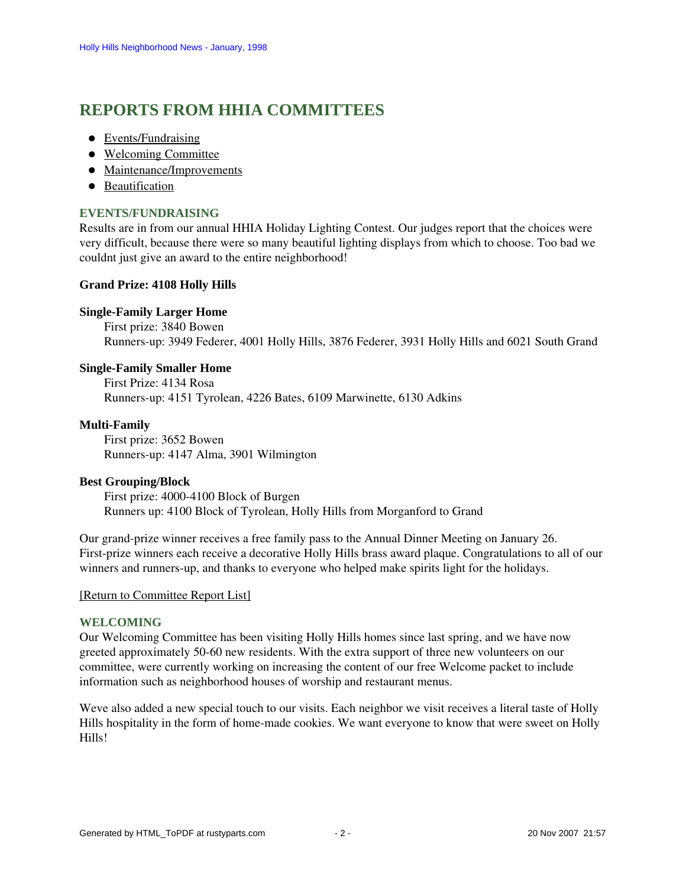# <span id="page-1-2"></span>**REPORTS FROM HHIA COMMITTEES**

- [Events/Fundraising](#page-1-0)
- [Welcoming Committee](#page-1-1)
- [Maintenance/Improvements](#page-2-0)
- [Beautification](#page-2-1)

#### <span id="page-1-0"></span>**EVENTS/FUNDRAISING**

Results are in from our annual HHIA Holiday Lighting Contest. Our judges report that the choices were very difficult, because there were so many beautiful lighting displays from which to choose. Too bad we couldnt just give an award to the entire neighborhood!

#### **Grand Prize: 4108 Holly Hills**

#### **Single-Family Larger Home**

First prize: 3840 Bowen Runners-up: 3949 Federer, 4001 Holly Hills, 3876 Federer, 3931 Holly Hills and 6021 South Grand

#### **Single-Family Smaller Home**

First Prize: 4134 Rosa Runners-up: 4151 Tyrolean, 4226 Bates, 6109 Marwinette, 6130 Adkins

#### **Multi-Family**

First prize: 3652 Bowen Runners-up: 4147 Alma, 3901 Wilmington

#### **Best Grouping/Block**

First prize: 4000-4100 Block of Burgen Runners up: 4100 Block of Tyrolean, Holly Hills from Morganford to Grand

Our grand-prize winner receives a free family pass to the Annual Dinner Meeting on January 26. First-prize winners each receive a decorative Holly Hills brass award plaque. Congratulations to all of our winners and runners-up, and thanks to everyone who helped make spirits light for the holidays.

#### [\[Return to Committee Report List\]](#page-1-2)

#### <span id="page-1-1"></span>**WELCOMING**

Our Welcoming Committee has been visiting Holly Hills homes since last spring, and we have now greeted approximately 50-60 new residents. With the extra support of three new volunteers on our committee, were currently working on increasing the content of our free Welcome packet to include information such as neighborhood houses of worship and restaurant menus.

Weve also added a new special touch to our visits. Each neighbor we visit receives a literal taste of Holly Hills hospitality in the form of home-made cookies. We want everyone to know that were sweet on Holly Hills!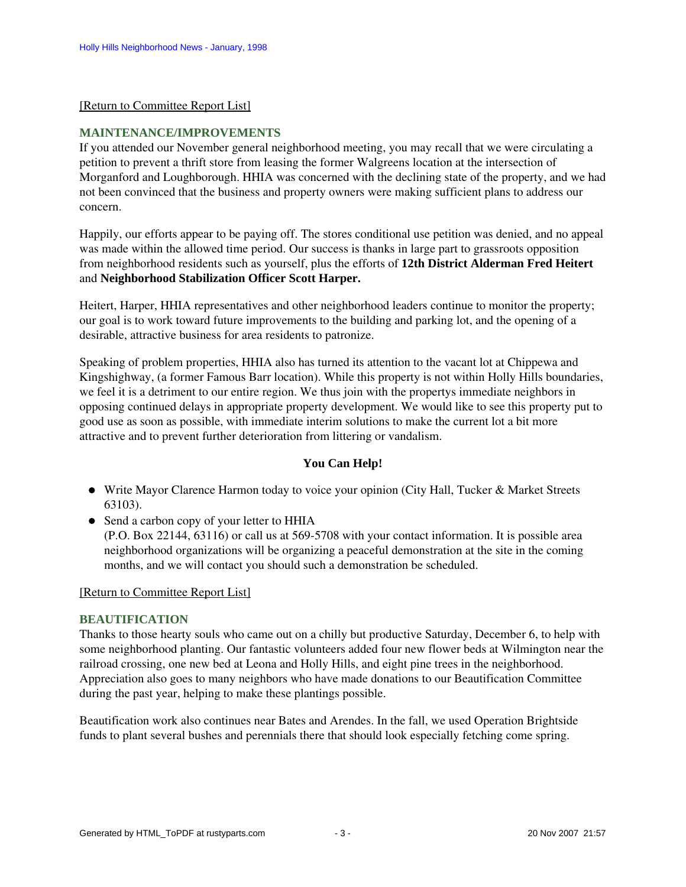#### [\[Return to Committee Report List\]](#page-1-2)

#### <span id="page-2-0"></span>**MAINTENANCE/IMPROVEMENTS**

If you attended our November general neighborhood meeting, you may recall that we were circulating a petition to prevent a thrift store from leasing the former Walgreens location at the intersection of Morganford and Loughborough. HHIA was concerned with the declining state of the property, and we had not been convinced that the business and property owners were making sufficient plans to address our concern.

Happily, our efforts appear to be paying off. The stores conditional use petition was denied, and no appeal was made within the allowed time period. Our success is thanks in large part to grassroots opposition from neighborhood residents such as yourself, plus the efforts of **12th District Alderman Fred Heitert** and **Neighborhood Stabilization Officer Scott Harper.**

Heitert, Harper, HHIA representatives and other neighborhood leaders continue to monitor the property; our goal is to work toward future improvements to the building and parking lot, and the opening of a desirable, attractive business for area residents to patronize.

Speaking of problem properties, HHIA also has turned its attention to the vacant lot at Chippewa and Kingshighway, (a former Famous Barr location). While this property is not within Holly Hills boundaries, we feel it is a detriment to our entire region. We thus join with the propertys immediate neighbors in opposing continued delays in appropriate property development. We would like to see this property put to good use as soon as possible, with immediate interim solutions to make the current lot a bit more attractive and to prevent further deterioration from littering or vandalism.

#### **You Can Help!**

- Write Mayor Clarence Harmon today to voice your opinion (City Hall, Tucker & Market Streets 63103).
- Send a carbon copy of your letter to HHIA (P.O. Box 22144, 63116) or call us at 569-5708 with your contact information. It is possible area neighborhood organizations will be organizing a peaceful demonstration at the site in the coming

months, and we will contact you should such a demonstration be scheduled.

[\[Return to Committee Report List\]](#page-1-2)

#### <span id="page-2-1"></span>**BEAUTIFICATION**

Thanks to those hearty souls who came out on a chilly but productive Saturday, December 6, to help with some neighborhood planting. Our fantastic volunteers added four new flower beds at Wilmington near the railroad crossing, one new bed at Leona and Holly Hills, and eight pine trees in the neighborhood. Appreciation also goes to many neighbors who have made donations to our Beautification Committee during the past year, helping to make these plantings possible.

Beautification work also continues near Bates and Arendes. In the fall, we used Operation Brightside funds to plant several bushes and perennials there that should look especially fetching come spring.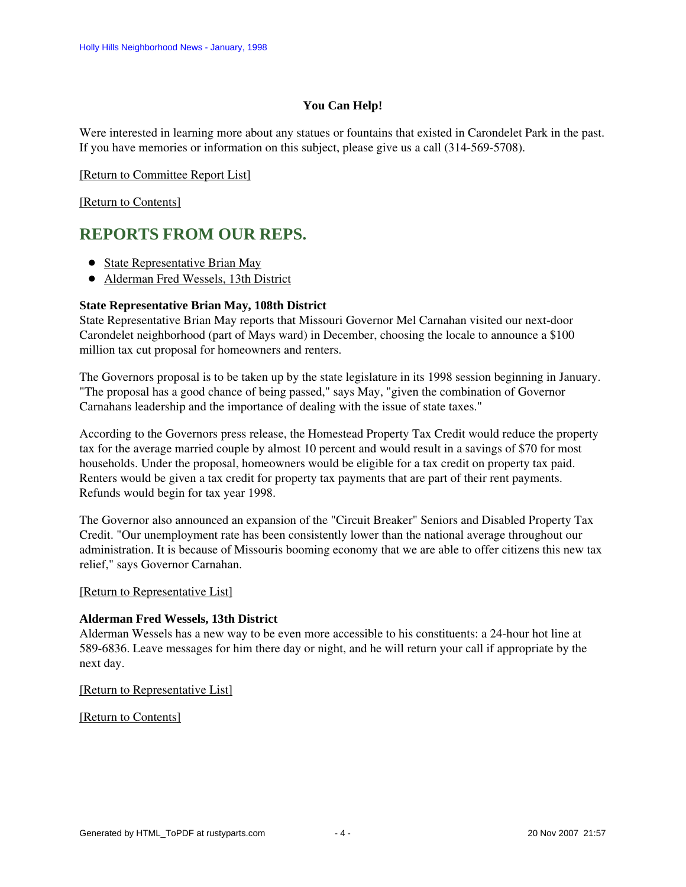#### **You Can Help!**

Were interested in learning more about any statues or fountains that existed in Carondelet Park in the past. If you have memories or information on this subject, please give us a call (314-569-5708).

[\[Return to Committee Report List\]](#page-1-2)

[\[Return to Contents\]](#page-0-3)

### <span id="page-3-4"></span><span id="page-3-0"></span>**REPORTS FROM OUR REPS.**

- [State Representative Brian May](#page-3-2)
- [Alderman Fred Wessels, 13th District](#page-3-3)

#### <span id="page-3-2"></span>**State Representative Brian May, 108th District**

State Representative Brian May reports that Missouri Governor Mel Carnahan visited our next-door Carondelet neighborhood (part of Mays ward) in December, choosing the locale to announce a \$100 million tax cut proposal for homeowners and renters.

The Governors proposal is to be taken up by the state legislature in its 1998 session beginning in January. "The proposal has a good chance of being passed," says May, "given the combination of Governor Carnahans leadership and the importance of dealing with the issue of state taxes."

According to the Governors press release, the Homestead Property Tax Credit would reduce the property tax for the average married couple by almost 10 percent and would result in a savings of \$70 for most households. Under the proposal, homeowners would be eligible for a tax credit on property tax paid. Renters would be given a tax credit for property tax payments that are part of their rent payments. Refunds would begin for tax year 1998.

The Governor also announced an expansion of the "Circuit Breaker" Seniors and Disabled Property Tax Credit. "Our unemployment rate has been consistently lower than the national average throughout our administration. It is because of Missouris booming economy that we are able to offer citizens this new tax relief," says Governor Carnahan.

#### [\[Return to Representative List\]](#page-3-4)

#### <span id="page-3-3"></span>**Alderman Fred Wessels, 13th District**

Alderman Wessels has a new way to be even more accessible to his constituents: a 24-hour hot line at 589-6836. Leave messages for him there day or night, and he will return your call if appropriate by the next day.

[\[Return to Representative List\]](#page-3-4)

<span id="page-3-1"></span>[\[Return to Contents\]](#page-0-3)